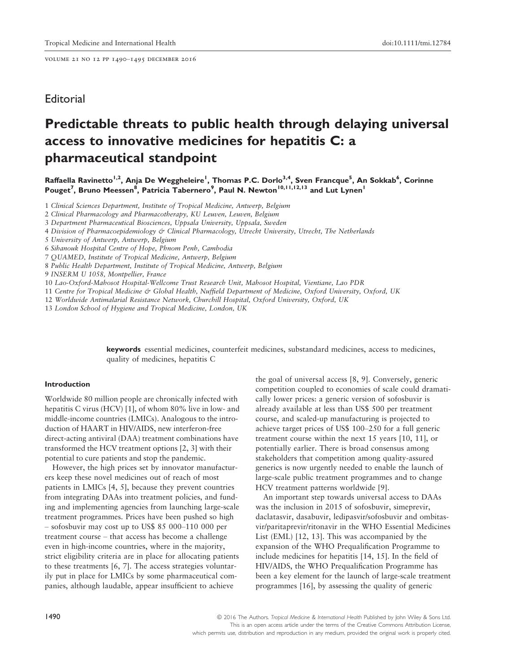volume 21 no 12 pp 1490–1495 december 2016

# **Editorial**

# Predictable threats to public health through delaying universal access to innovative medicines for hepatitis C: a pharmaceutical standpoint

Raffaella Ravinetto<sup>1,2</sup>, Anja De Weggheleire<sup>1</sup>, Thomas P.C. Dorlo<sup>3,4</sup>, Sven Francque<sup>5</sup>, An Sokkab<sup>6</sup>, Corinne Pouget<sup>7</sup>, Bruno Meessen<sup>8</sup>, Patricia Tabernero<sup>9</sup>, Paul N. Newton<sup>10,11,12,13</sup> and Lut Lynen<sup>1</sup>

1 Clinical Sciences Department, Institute of Tropical Medicine, Antwerp, Belgium

2 Clinical Pharmacology and Pharmacotherapy, KU Leuven, Leuven, Belgium

3 Department Pharmaceutical Biosciences, Uppsala University, Uppsala, Sweden

4 Division of Pharmacoepidemiology & Clinical Pharmacology, Utrecht University, Utrecht, The Netherlands

- 5 University of Antwerp, Antwerp, Belgium
- 6 Sihanouk Hospital Centre of Hope, Phnom Penh, Cambodia
- 7 QUAMED, Institute of Tropical Medicine, Antwerp, Belgium
- 8 Public Health Department, Institute of Tropical Medicine, Antwerp, Belgium
- 9 INSERM U 1058, Montpellier, France
- 10 Lao-Oxford-Mahosot Hospital-Wellcome Trust Research Unit, Mahosot Hospital, Vientiane, Lao PDR
- 11 Centre for Tropical Medicine & Global Health, Nuffield Department of Medicine, Oxford University, Oxford, UK
- 12 Worldwide Antimalarial Resistance Network, Churchill Hospital, Oxford University, Oxford, UK

13 London School of Hygiene and Tropical Medicine, London, UK

keywords essential medicines, counterfeit medicines, substandard medicines, access to medicines, quality of medicines, hepatitis C

#### Introduction

Worldwide 80 million people are chronically infected with hepatitis C virus (HCV) [1], of whom 80% live in low- and middle-income countries (LMICs). Analogous to the introduction of HAART in HIV/AIDS, new interferon-free direct-acting antiviral (DAA) treatment combinations have transformed the HCV treatment options [2, 3] with their potential to cure patients and stop the pandemic.

However, the high prices set by innovator manufacturers keep these novel medicines out of reach of most patients in LMICs [4, 5], because they prevent countries from integrating DAAs into treatment policies, and funding and implementing agencies from launching large-scale treatment programmes. Prices have been pushed so high – sofosbuvir may cost up to US\$ 85 000–110 000 per treatment course – that access has become a challenge even in high-income countries, where in the majority, strict eligibility criteria are in place for allocating patients to these treatments [6, 7]. The access strategies voluntarily put in place for LMICs by some pharmaceutical companies, although laudable, appear insufficient to achieve

the goal of universal access [8, 9]. Conversely, generic competition coupled to economies of scale could dramatically lower prices: a generic version of sofosbuvir is already available at less than US\$ 500 per treatment course, and scaled-up manufacturing is projected to achieve target prices of US\$ 100–250 for a full generic treatment course within the next 15 years [10, 11], or potentially earlier. There is broad consensus among stakeholders that competition among quality-assured generics is now urgently needed to enable the launch of large-scale public treatment programmes and to change HCV treatment patterns worldwide [9].

An important step towards universal access to DAAs was the inclusion in 2015 of sofosbuvir, simeprevir, daclatasvir, dasabuvir, ledipasvir/sofosbuvir and ombitasvir/paritaprevir/ritonavir in the WHO Essential Medicines List (EML) [12, 13]. This was accompanied by the expansion of the WHO Prequalification Programme to include medicines for hepatitis [14, 15]. In the field of HIV/AIDS, the WHO Prequalification Programme has been a key element for the launch of large-scale treatment programmes [16], by assessing the quality of generic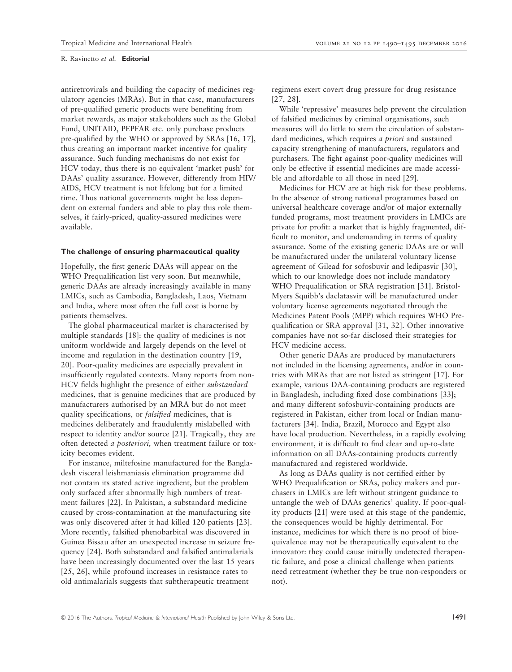antiretrovirals and building the capacity of medicines regulatory agencies (MRAs). But in that case, manufacturers of pre-qualified generic products were benefiting from market rewards, as major stakeholders such as the Global Fund, UNITAID, PEPFAR etc. only purchase products pre-qualified by the WHO or approved by SRAs [16, 17], thus creating an important market incentive for quality assurance. Such funding mechanisms do not exist for HCV today, thus there is no equivalent 'market push' for DAAs' quality assurance. However, differently from HIV/ AIDS, HCV treatment is not lifelong but for a limited time. Thus national governments might be less dependent on external funders and able to play this role themselves, if fairly-priced, quality-assured medicines were available.

#### The challenge of ensuring pharmaceutical quality

Hopefully, the first generic DAAs will appear on the WHO Prequalification list very soon. But meanwhile, generic DAAs are already increasingly available in many LMICs, such as Cambodia, Bangladesh, Laos, Vietnam and India, where most often the full cost is borne by patients themselves.

The global pharmaceutical market is characterised by multiple standards [18]: the quality of medicines is not uniform worldwide and largely depends on the level of income and regulation in the destination country [19, 20]. Poor-quality medicines are especially prevalent in insufficiently regulated contexts. Many reports from non-HCV fields highlight the presence of either substandard medicines, that is genuine medicines that are produced by manufacturers authorised by an MRA but do not meet quality specifications, or falsified medicines, that is medicines deliberately and fraudulently mislabelled with respect to identity and/or source [21]. Tragically, they are often detected a posteriori, when treatment failure or toxicity becomes evident.

For instance, miltefosine manufactured for the Bangladesh visceral leishmaniasis elimination programme did not contain its stated active ingredient, but the problem only surfaced after abnormally high numbers of treatment failures [22]. In Pakistan, a substandard medicine caused by cross-contamination at the manufacturing site was only discovered after it had killed 120 patients [23]. More recently, falsified phenobarbital was discovered in Guinea Bissau after an unexpected increase in seizure frequency [24]. Both substandard and falsified antimalarials have been increasingly documented over the last 15 years [25, 26], while profound increases in resistance rates to old antimalarials suggests that subtherapeutic treatment

regimens exert covert drug pressure for drug resistance [27, 28].

While 'repressive' measures help prevent the circulation of falsified medicines by criminal organisations, such measures will do little to stem the circulation of substandard medicines, which requires *a priori* and sustained capacity strengthening of manufacturers, regulators and purchasers. The fight against poor-quality medicines will only be effective if essential medicines are made accessible and affordable to all those in need [29].

Medicines for HCV are at high risk for these problems. In the absence of strong national programmes based on universal healthcare coverage and/or of major externally funded programs, most treatment providers in LMICs are private for profit: a market that is highly fragmented, difficult to monitor, and undemanding in terms of quality assurance. Some of the existing generic DAAs are or will be manufactured under the unilateral voluntary license agreement of Gilead for sofosbuvir and ledipasvir [30], which to our knowledge does not include mandatory WHO Prequalification or SRA registration [31]. Bristol-Myers Squibb's daclatasvir will be manufactured under voluntary license agreements negotiated through the Medicines Patent Pools (MPP) which requires WHO Prequalification or SRA approval [31, 32]. Other innovative companies have not so-far disclosed their strategies for HCV medicine access.

Other generic DAAs are produced by manufacturers not included in the licensing agreements, and/or in countries with MRAs that are not listed as stringent [17]. For example, various DAA-containing products are registered in Bangladesh, including fixed dose combinations [33]; and many different sofosbuvir-containing products are registered in Pakistan, either from local or Indian manufacturers [34]. India, Brazil, Morocco and Egypt also have local production. Nevertheless, in a rapidly evolving environment, it is difficult to find clear and up-to-date information on all DAAs-containing products currently manufactured and registered worldwide.

As long as DAAs quality is not certified either by WHO Prequalification or SRAs, policy makers and purchasers in LMICs are left without stringent guidance to untangle the web of DAAs generics' quality. If poor-quality products [21] were used at this stage of the pandemic, the consequences would be highly detrimental. For instance, medicines for which there is no proof of bioequivalence may not be therapeutically equivalent to the innovator: they could cause initially undetected therapeutic failure, and pose a clinical challenge when patients need retreatment (whether they be true non-responders or not).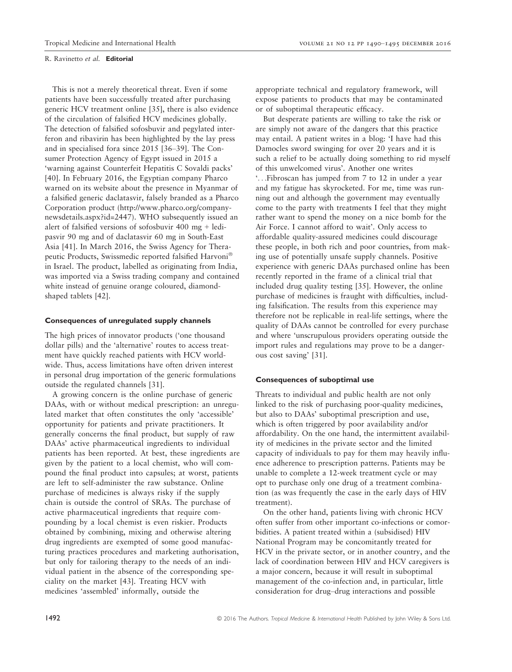This is not a merely theoretical threat. Even if some patients have been successfully treated after purchasing generic HCV treatment online [35], there is also evidence of the circulation of falsified HCV medicines globally. The detection of falsified sofosbuvir and pegylated interferon and ribavirin has been highlighted by the lay press and in specialised fora since 2015 [36–39]. The Consumer Protection Agency of Egypt issued in 2015 a 'warning against Counterfeit Hepatitis C Sovaldi packs' [40]. In February 2016, the Egyptian company Pharco warned on its website about the presence in Myanmar of a falsified generic daclatasvir, falsely branded as a Pharco Corporation product [\(http://www.pharco.org/company](http://www.pharco.org/company-newsdetails.aspx?id=2447)[newsdetails.aspx?id=2447](http://www.pharco.org/company-newsdetails.aspx?id=2447)). WHO subsequently issued an alert of falsified versions of sofosbuvir 400 mg + ledipasvir 90 mg and of daclatasvir 60 mg in South-East Asia [41]. In March 2016, the Swiss Agency for Therapeutic Products, Swissmedic reported falsified Harvoni in Israel. The product, labelled as originating from India, was imported via a Swiss trading company and contained white instead of genuine orange coloured, diamondshaped tablets [42].

#### Consequences of unregulated supply channels

The high prices of innovator products ('one thousand dollar pills) and the 'alternative' routes to access treatment have quickly reached patients with HCV worldwide. Thus, access limitations have often driven interest in personal drug importation of the generic formulations outside the regulated channels [31].

A growing concern is the online purchase of generic DAAs, with or without medical prescription: an unregulated market that often constitutes the only 'accessible' opportunity for patients and private practitioners. It generally concerns the final product, but supply of raw DAAs' active pharmaceutical ingredients to individual patients has been reported. At best, these ingredients are given by the patient to a local chemist, who will compound the final product into capsules; at worst, patients are left to self-administer the raw substance. Online purchase of medicines is always risky if the supply chain is outside the control of SRAs. The purchase of active pharmaceutical ingredients that require compounding by a local chemist is even riskier. Products obtained by combining, mixing and otherwise altering drug ingredients are exempted of some good manufacturing practices procedures and marketing authorisation, but only for tailoring therapy to the needs of an individual patient in the absence of the corresponding speciality on the market [43]. Treating HCV with medicines 'assembled' informally, outside the

appropriate technical and regulatory framework, will expose patients to products that may be contaminated or of suboptimal therapeutic efficacy.

But desperate patients are willing to take the risk or are simply not aware of the dangers that this practice may entail. A patient writes in a blog: 'I have had this Damocles sword swinging for over 20 years and it is such a relief to be actually doing something to rid myself of this unwelcomed virus'. Another one writes '...Fibroscan has jumped from 7 to 12 in under a year and my fatigue has skyrocketed. For me, time was running out and although the government may eventually come to the party with treatments I feel that they might rather want to spend the money on a nice bomb for the Air Force. I cannot afford to wait'. Only access to affordable quality-assured medicines could discourage these people, in both rich and poor countries, from making use of potentially unsafe supply channels. Positive experience with generic DAAs purchased online has been recently reported in the frame of a clinical trial that included drug quality testing [35]. However, the online purchase of medicines is fraught with difficulties, including falsification. The results from this experience may therefore not be replicable in real-life settings, where the quality of DAAs cannot be controlled for every purchase and where 'unscrupulous providers operating outside the import rules and regulations may prove to be a dangerous cost saving' [31].

#### Consequences of suboptimal use

Threats to individual and public health are not only linked to the risk of purchasing poor-quality medicines, but also to DAAs' suboptimal prescription and use, which is often triggered by poor availability and/or affordability. On the one hand, the intermittent availability of medicines in the private sector and the limited capacity of individuals to pay for them may heavily influence adherence to prescription patterns. Patients may be unable to complete a 12-week treatment cycle or may opt to purchase only one drug of a treatment combination (as was frequently the case in the early days of HIV treatment).

On the other hand, patients living with chronic HCV often suffer from other important co-infections or comorbidities. A patient treated within a (subsidised) HIV National Program may be concomitantly treated for HCV in the private sector, or in another country, and the lack of coordination between HIV and HCV caregivers is a major concern, because it will result in suboptimal management of the co-infection and, in particular, little consideration for drug–drug interactions and possible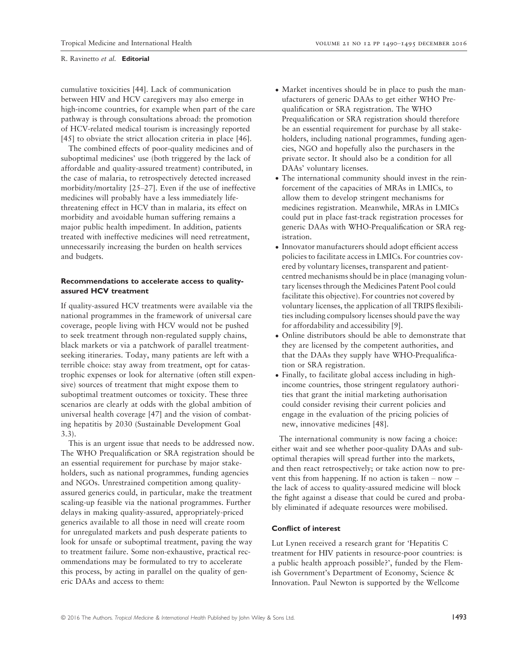cumulative toxicities [44]. Lack of communication between HIV and HCV caregivers may also emerge in high-income countries, for example when part of the care pathway is through consultations abroad: the promotion of HCV-related medical tourism is increasingly reported [45] to obviate the strict allocation criteria in place [46].

The combined effects of poor-quality medicines and of suboptimal medicines' use (both triggered by the lack of affordable and quality-assured treatment) contributed, in the case of malaria, to retrospectively detected increased morbidity/mortality [25–27]. Even if the use of ineffective medicines will probably have a less immediately lifethreatening effect in HCV than in malaria, its effect on morbidity and avoidable human suffering remains a major public health impediment. In addition, patients treated with ineffective medicines will need retreatment, unnecessarily increasing the burden on health services and budgets.

# Recommendations to accelerate access to qualityassured HCV treatment

If quality-assured HCV treatments were available via the national programmes in the framework of universal care coverage, people living with HCV would not be pushed to seek treatment through non-regulated supply chains, black markets or via a patchwork of parallel treatmentseeking itineraries. Today, many patients are left with a terrible choice: stay away from treatment, opt for catastrophic expenses or look for alternative (often still expensive) sources of treatment that might expose them to suboptimal treatment outcomes or toxicity. These three scenarios are clearly at odds with the global ambition of universal health coverage [47] and the vision of combating hepatitis by 2030 (Sustainable Development Goal 3.3).

This is an urgent issue that needs to be addressed now. The WHO Prequalification or SRA registration should be an essential requirement for purchase by major stakeholders, such as national programmes, funding agencies and NGOs. Unrestrained competition among qualityassured generics could, in particular, make the treatment scaling-up feasible via the national programmes. Further delays in making quality-assured, appropriately-priced generics available to all those in need will create room for unregulated markets and push desperate patients to look for unsafe or suboptimal treatment, paving the way to treatment failure. Some non-exhaustive, practical recommendations may be formulated to try to accelerate this process, by acting in parallel on the quality of generic DAAs and access to them:

- Market incentives should be in place to push the manufacturers of generic DAAs to get either WHO Prequalification or SRA registration. The WHO Prequalification or SRA registration should therefore be an essential requirement for purchase by all stakeholders, including national programmes, funding agencies, NGO and hopefully also the purchasers in the private sector. It should also be a condition for all DAAs' voluntary licenses.
- The international community should invest in the reinforcement of the capacities of MRAs in LMICs, to allow them to develop stringent mechanisms for medicines registration. Meanwhile, MRAs in LMICs could put in place fast-track registration processes for generic DAAs with WHO-Prequalification or SRA registration.
- Innovator manufacturers should adopt efficient access policies to facilitate access in LMICs. For countries covered by voluntary licenses, transparent and patientcentred mechanisms should be in place (managing voluntary licenses through the Medicines Patent Pool could facilitate this objective). For countries not covered by voluntary licenses, the application of all TRIPS flexibilities including compulsory licenses should pave the way for affordability and accessibility [9].
- Online distributors should be able to demonstrate that they are licensed by the competent authorities, and that the DAAs they supply have WHO-Prequalification or SRA registration.
- Finally, to facilitate global access including in highincome countries, those stringent regulatory authorities that grant the initial marketing authorisation could consider revising their current policies and engage in the evaluation of the pricing policies of new, innovative medicines [48].

The international community is now facing a choice: either wait and see whether poor-quality DAAs and suboptimal therapies will spread further into the markets, and then react retrospectively; or take action now to prevent this from happening. If no action is taken – now – the lack of access to quality-assured medicine will block the fight against a disease that could be cured and probably eliminated if adequate resources were mobilised.

# Conflict of interest

Lut Lynen received a research grant for 'Hepatitis C treatment for HIV patients in resource-poor countries: is a public health approach possible?', funded by the Flemish Government's Department of Economy, Science & Innovation. Paul Newton is supported by the Wellcome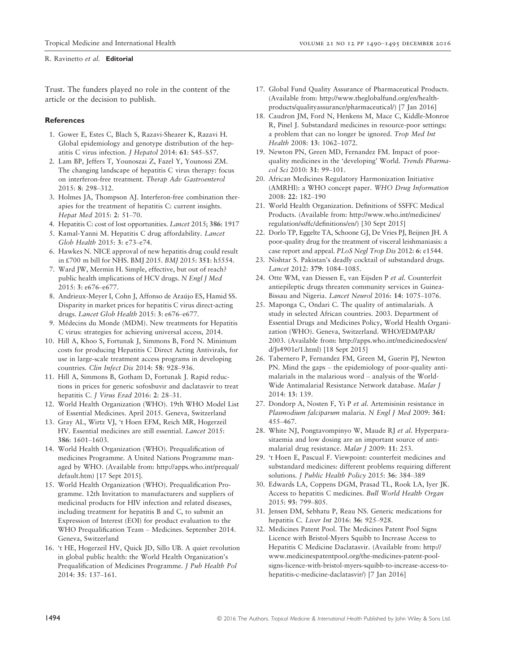Trust. The funders played no role in the content of the article or the decision to publish.

## **References**

- 1. Gower E, Estes C, Blach S, Razavi-Shearer K, Razavi H. Global epidemiology and genotype distribution of the hepatitis C virus infection. J Hepatol 2014: 61: S45–S57.
- 2. Lam BP, Jeffers T, Younoszai Z, Fazel Y, Younossi ZM. The changing landscape of hepatitis C virus therapy: focus on interferon-free treatment. Therap Adv Gastroenterol 2015: 8: 298–312.
- 3. Holmes JA, Thompson AJ. Interferon-free combination therapies for the treatment of hepatitis C: current insights. Hepat Med 2015: 2: 51–70.
- 4. Hepatitis C: cost of lost opportunities. Lancet 2015; 386: 1917
- 5. Kamal-Yanni M. Hepatitis C drug affordability. Lancet Glob Health 2015: 3: e73–e74.
- 6. Hawkes N. NICE approval of new hepatitis drug could result in £700 m bill for NHS. BMJ 2015. BMJ 2015: 351: h5554.
- 7. Ward JW, Mermin H. Simple, effective, but out of reach? public health implications of HCV drugs. N Engl J Med 2015: 3: e676–e677.
- 8. Andrieux-Meyer I, Cohn J, Affonso de Araújo ES, Hamid SS. Disparity in market prices for hepatitis C virus direct-acting drugs. Lancet Glob Health 2015: 3: e676–e677.
- 9. Médecins du Monde (MDM). New treatments for Hepatitis C virus: strategies for achieving universal access, 2014.
- 10. Hill A, Khoo S, Fortunak J, Simmons B, Ford N. Minimum costs for producing Hepatitis C Direct Acting Antivirals, for use in large-scale treatment access programs in developing countries. Clin Infect Dis 2014: 58: 928–936.
- 11. Hill A, Simmons B, Gotham D, Fortunak J. Rapid reductions in prices for generic sofosbuvir and daclatasvir to treat hepatitis C. J Virus Erad 2016: 2: 28–31.
- 12. World Health Organization (WHO). 19th WHO Model List of Essential Medicines. April 2015. Geneva, Switzerland
- 13. Gray AL, Wirtz VJ, 't Hoen EFM, Reich MR, Hogerzeil HV. Essential medicines are still essential. Lancet 2015: 386: 1601–1603.
- 14. World Health Organization (WHO). Prequalification of medicines Programme. A United Nations Programme managed by WHO. (Available from: [http://apps.who.int/prequal/](http://apps.who.int/prequal/default.htm) [default.htm](http://apps.who.int/prequal/default.htm)) [17 Sept 2015].
- 15. World Health Organization (WHO). Prequalification Programme. 12th Invitation to manufacturers and suppliers of medicinal products for HIV infection and related diseases, including treatment for hepatitis B and C, to submit an Expression of Interest (EOI) for product evaluation to the WHO Prequalification Team – Medicines. September 2014. Geneva, Switzerland
- 16. 't HE, Hogerzeil HV, Quick JD, Sillo UB. A quiet revolution in global public health: the World Health Organization's Prequalification of Medicines Programme. J Pub Health Pol 2014: 35: 137–161.
- 17. Global Fund Quality Assurance of Pharmaceutical Products. (Available from: [http://www.theglobalfund.org/en/health](http://www.theglobalfund.org/en/healthproducts/qualityassurance/pharmaceutical/)[products/qualityassurance/pharmaceutical/\)](http://www.theglobalfund.org/en/healthproducts/qualityassurance/pharmaceutical/) [7 Jan 2016]
- 18. Caudron JM, Ford N, Henkens M, Mace C, Kiddle-Monroe R, Pinel J. Substandard medicines in resource-poor settings: a problem that can no longer be ignored. Trop Med Int Health 2008: 13: 1062–1072.
- 19. Newton PN, Green MD, Fernandez FM. Impact of poorquality medicines in the 'developing' World. Trends Pharmacol Sci 2010: 31: 99–101.
- 20. African Medicines Regulatory Harmonization Initiative (AMRHI): a WHO concept paper. WHO Drug Information 2008: 22: 182–190
- 21. World Health Organization. Definitions of SSFFC Medical Products. (Available from: [http://www.who.int/medicines/](http://www.who.int/medicines/regulation/ssffc/definitions/en/) [regulation/ssffc/definitions/en/\)](http://www.who.int/medicines/regulation/ssffc/definitions/en/) [30 Sept 2015]
- 22. Dorlo TP, Eggelte TA, Schoone GJ, De Vries PJ, Beijnen JH. A poor-quality drug for the treatment of visceral leishmaniasis: a case report and appeal. PLoS Negl Trop Dis 2012: 6: e1544.
- 23. Nishtar S. Pakistan's deadly cocktail of substandard drugs. Lancet 2012: 379: 1084–1085.
- 24. Otte WM, van Diessen E, van Eijsden P et al. Counterfeit antiepileptic drugs threaten community services in Guinea-Bissau and Nigeria. Lancet Neurol 2016: 14: 1075–1076.
- 25. Maponga C, Ondari C. The quality of antimalarials. A study in selected African countries. 2003. Department of Essential Drugs and Medicines Policy, World Health Organization (WHO). Geneva, Switzerland. WHO/EDM/PAR/ 2003. (Available from: [http://apps.who.int/medicinedocs/en/](http://apps.who.int/medicinedocs/en/d/Js4901e/1.html) [d/Js4901e/1.html](http://apps.who.int/medicinedocs/en/d/Js4901e/1.html)) [18 Sept 2015]
- 26. Tabernero P, Fernandez FM, Green M, Guerin PJ, Newton PN. Mind the gaps – the epidemiology of poor-quality antimalarials in the malarious word – analysis of the World-Wide Antimalarial Resistance Network database. Malar J 2014: 13: 139.
- 27. Dondorp A, Nosten F, Yi P et al. Artemisinin resistance in Plasmodium falciparum malaria. N Engl J Med 2009: 361: 455–467.
- 28. White NJ, Pongtavompinyo W, Maude RJ et al. Hyperparasitaemia and low dosing are an important source of antimalarial drug resistance. Malar J 2009: 11: 253.
- 29. 't Hoen E, Pascual F. Viewpoint: counterfeit medicines and substandard medicines: different problems requiring different solutions. J Public Health Policy 2015: 36: 384–389
- 30. Edwards LA, Coppens DGM, Prasad TL, Rook LA, Iyer JK. Access to hepatitis C medicines. Bull World Health Organ 2015: 93: 799–805.
- 31. Jensen DM, Sebhatu P, Reau NS. Generic medications for hepatitis C. Liver Int 2016: 36: 925–928.
- 32. Medicines Patent Pool. The Medicines Patent Pool Signs Licence with Bristol-Myers Squibb to Increase Access to Hepatitis C Medicine Daclatasvir. (Available from: [http://](http://www.medicinespatentpool.org/the-medicines-patent-pool-signs-licence-with-bristol-myers-squibb-to-increase-access-to-hepatitis-c-medicine-daclatasvir/) [www.medicinespatentpool.org/the-medicines-patent-pool](http://www.medicinespatentpool.org/the-medicines-patent-pool-signs-licence-with-bristol-myers-squibb-to-increase-access-to-hepatitis-c-medicine-daclatasvir/)[signs-licence-with-bristol-myers-squibb-to-increase-access-to](http://www.medicinespatentpool.org/the-medicines-patent-pool-signs-licence-with-bristol-myers-squibb-to-increase-access-to-hepatitis-c-medicine-daclatasvir/)[hepatitis-c-medicine-daclatasvir/](http://www.medicinespatentpool.org/the-medicines-patent-pool-signs-licence-with-bristol-myers-squibb-to-increase-access-to-hepatitis-c-medicine-daclatasvir/)) [7 Jan 2016]